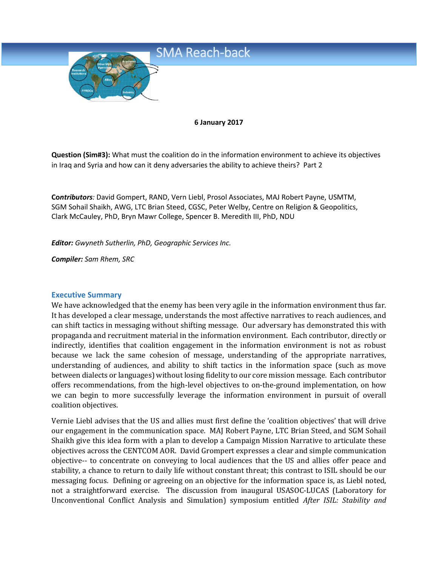

#### **6 January 2017**

**Question (Sim#3):** What must the coalition do in the information environment to achieve its objectives in Iraq and Syria and how can it deny adversaries the ability to achieve theirs? Part 2

**Co***ntributors:* David Gompert, RAND, Vern Liebl, Prosol Associates, MAJ Robert Payne, USMTM, SGM Sohail Shaikh, AWG, LTC Brian Steed, CGSC, Peter Welby, Centre on Religion & Geopolitics, Clark McCauley, PhD, Bryn Mawr College, Spencer B. Meredith III, PhD, NDU

*Editor: Gwyneth Sutherlin, PhD, Geographic Services Inc.*

*Compiler: Sam Rhem, SRC*

#### **Executive Summary**

We have acknowledged that the enemy has been very agile in the information environment thus far. It has developed a clear message, understands the most affective narratives to reach audiences, and can shift tactics in messaging without shifting message. Our adversary has demonstrated this with propaganda and recruitment material in the information environment. Each contributor, directly or indirectly, identifies that coalition engagement in the information environment is not as robust because we lack the same cohesion of message, understanding of the appropriate narratives, understanding of audiences, and ability to shift tactics in the information space (such as move between dialects or languages) without losing fidelity to our core mission message. Each contributor offers recommendations, from the high-level objectives to on-the-ground implementation, on how we can begin to more successfully leverage the information environment in pursuit of overall coalition objectives.

Vernie Liebl advises that the US and allies must first define the 'coalition objectives' that will drive our engagement in the communication space. MAJ Robert Payne, LTC Brian Steed, and SGM Sohail Shaikh give this idea form with a plan to develop a Campaign Mission Narrative to articulate these objectives across the CENTCOM AOR. David Grompert expresses a clear and simple communication objective-- to concentrate on conveying to local audiences that the US and allies offer peace and stability, a chance to return to daily life without constant threat; this contrast to ISIL should be our messaging focus. Defining or agreeing on an objective for the information space is, as Liebl noted, not a straightforward exercise. The discussion from inaugural USASOC-LUCAS (Laboratory for Unconventional Conflict Analysis and Simulation) symposium entitled *After ISIL: Stability and*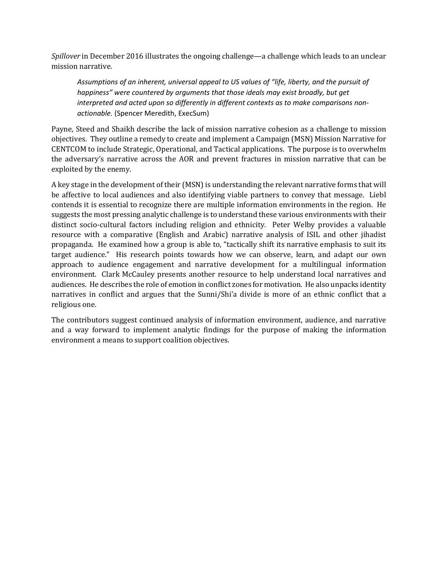*Spillover* in December 2016 illustrates the ongoing challenge—a challenge which leads to an unclear mission narrative.

*Assumptions of an inherent, universal appeal to US values of "life, liberty, and the pursuit of happiness" were countered by arguments that those ideals may exist broadly, but get interpreted and acted upon so differently in different contexts as to make comparisons nonactionable.* (Spencer Meredith, ExecSum)

Payne, Steed and Shaikh describe the lack of mission narrative cohesion as a challenge to mission objectives. They outline a remedy to create and implement a Campaign (MSN) Mission Narrative for CENTCOM to include Strategic, Operational, and Tactical applications. The purpose is to overwhelm the adversary's narrative across the AOR and prevent fractures in mission narrative that can be exploited by the enemy.

A key stage in the development of their (MSN) is understanding the relevant narrative forms that will be affective to local audiences and also identifying viable partners to convey that message. Liebl contends it is essential to recognize there are multiple information environments in the region. He suggests the most pressing analytic challenge is to understand these various environments with their distinct socio-cultural factors including religion and ethnicity. Peter Welby provides a valuable resource with a comparative (English and Arabic) narrative analysis of ISIL and other jihadist propaganda. He examined how a group is able to, "tactically shift its narrative emphasis to suit its target audience." His research points towards how we can observe, learn, and adapt our own approach to audience engagement and narrative development for a multilingual information environment. Clark McCauley presents another resource to help understand local narratives and audiences. He describes the role of emotion in conflict zones for motivation. He also unpacks identity narratives in conflict and argues that the Sunni/Shi'a divide is more of an ethnic conflict that a religious one.

The contributors suggest continued analysis of information environment, audience, and narrative and a way forward to implement analytic findings for the purpose of making the information environment a means to support coalition objectives.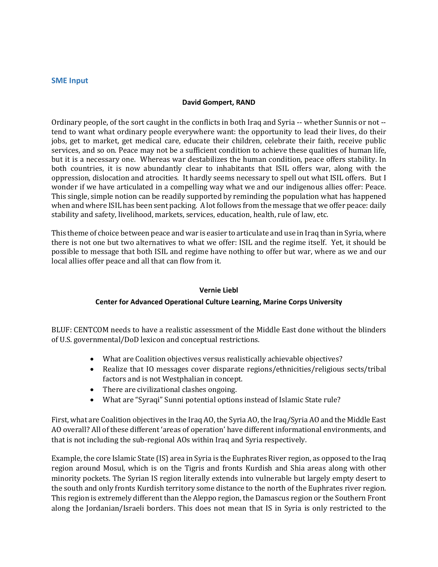#### **SME Input**

#### **David Gompert, RAND**

Ordinary people, of the sort caught in the conflicts in both Iraq and Syria -- whether Sunnis or not - tend to want what ordinary people everywhere want: the opportunity to lead their lives, do their jobs, get to market, get medical care, educate their children, celebrate their faith, receive public services, and so on. Peace may not be a sufficient condition to achieve these qualities of human life, but it is a necessary one. Whereas war destabilizes the human condition, peace offers stability. In both countries, it is now abundantly clear to inhabitants that ISIL offers war, along with the oppression, dislocation and atrocities. It hardly seems necessary to spell out what ISIL offers. But I wonder if we have articulated in a compelling way what we and our indigenous allies offer: Peace. This single, simple notion can be readily supported by reminding the population what has happened when and where ISIL has been sent packing. A lot follows from the message that we offer peace: daily stability and safety, livelihood, markets, services, education, health, rule of law, etc.

This theme of choice between peace and war is easier to articulate and use in Iraq than in Syria, where there is not one but two alternatives to what we offer: ISIL and the regime itself. Yet, it should be possible to message that both ISIL and regime have nothing to offer but war, where as we and our local allies offer peace and all that can flow from it.

#### **Vernie Liebl**

#### **Center for Advanced Operational Culture Learning, Marine Corps University**

BLUF: CENTCOM needs to have a realistic assessment of the Middle East done without the blinders of U.S. governmental/DoD lexicon and conceptual restrictions.

- What are Coalition objectives versus realistically achievable objectives?
- Realize that IO messages cover disparate regions/ethnicities/religious sects/tribal factors and is not Westphalian in concept.
- There are civilizational clashes ongoing.
- What are "Syraqi" Sunni potential options instead of Islamic State rule?

First, what are Coalition objectives in the Iraq AO, the Syria AO, the Iraq/Syria AO and the Middle East AO overall? All of these different 'areas of operation' have different informational environments, and that is not including the sub-regional AOs within Iraq and Syria respectively.

Example, the core Islamic State (IS) area in Syria is the Euphrates River region, as opposed to the Iraq region around Mosul, which is on the Tigris and fronts Kurdish and Shia areas along with other minority pockets. The Syrian IS region literally extends into vulnerable but largely empty desert to the south and only fronts Kurdish territory some distance to the north of the Euphrates river region. This region is extremely different than the Aleppo region, the Damascus region or the Southern Front along the Jordanian/Israeli borders. This does not mean that IS in Syria is only restricted to the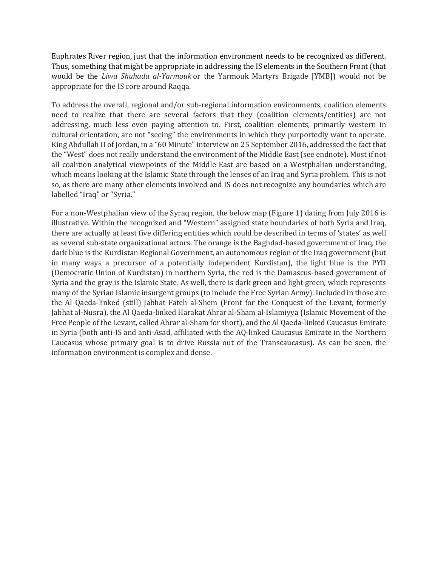Euphrates River region, just that the information environment needs to be recognized as different. Thus, something that might be appropriate in addressing the IS elements in the Southern Front (that would be the *Liwa Shuhada al-Yarmouk* or the Yarmouk Martyrs Brigade [YMB]) would not be appropriate for the IS core around Raqqa.

To address the overall, regional and/or sub-regional information environments, coalition elements need to realize that there are several factors that they (coalition elements/entities) are not addressing, much less even paying attention to. First, coalition elements, primarily western in cultural orientation, are not "seeing" the environments in which they purportedly want to operate. King Abdullah II of Jordan, in a "60 Minute" interview on 25 September 2016, addressed the fact that the "West" does not really understand the environment of the Middle East (see endnote). Most if not all coalition analytical viewpoints of the Middle East are based on a Westphalian understanding, which means looking at the Islamic State through the lenses of an Iraq and Syria problem. This is not so, as there are many other elements involved and IS does not recognize any boundaries which are labelled "Iraq" or "Syria."

For a non-Westphalian view of the Syraq region, the below map (Figure 1) dating from July 2016 is illustrative. Within the recognized and "Western" assigned state boundaries of both Syria and Iraq, there are actually at least five differing entities which could be described in terms of 'states' as well as several sub-state organizational actors. The orange is the Baghdad-based government of Iraq, the dark blue is the Kurdistan Regional Government, an autonomous region of the Iraq government (but in many ways a precursor of a potentially independent Kurdistan), the light blue is the PYD (Democratic Union of Kurdistan) in northern Syria, the red is the Damascus-based government of Syria and the gray is the Islamic State. As well, there is dark green and light green, which represents many of the Syrian Islamic insurgent groups (to include the Free Syrian Army). Included in those are the Al Qaeda-linked (still) Jabhat Fateh al-Shem (Front for the Conquest of the Levant, formerly Jabhat al-Nusra), the Al Qaeda-linked Harakat Ahrar al-Sham al-Islamiyya (Islamic Movement of the Free People of the Levant, called Ahrar al-Sham for short), and the Al Qaeda-linked Caucasus Emirate in Syria (both anti-IS and anti-Asad, affiliated with the AQ-linked Caucasus Emirate in the Northern Caucasus whose primary goal is to drive Russia out of the Transcaucasus). As can be seen, the information environment is complex and dense.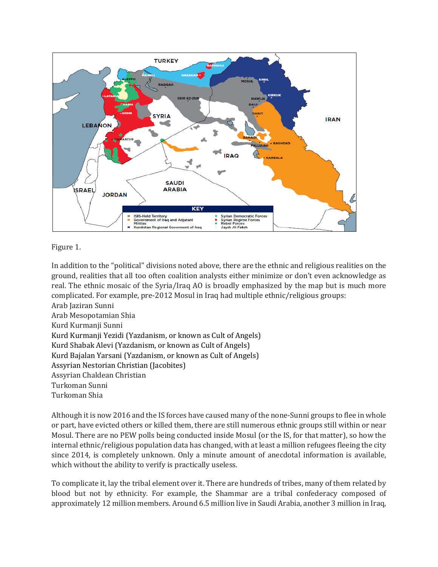

# Figure 1.

In addition to the "political" divisions noted above, there are the ethnic and religious realities on the ground, realities that all too often coalition analysts either minimize or don't even acknowledge as real. The ethnic mosaic of the Syria/Iraq AO is broadly emphasized by the map but is much more complicated. For example, pre-2012 Mosul in Iraq had multiple ethnic/religious groups: Arab Jaziran Sunni

Arab Mesopotamian Shia Kurd Kurmanji Sunni Kurd Kurmanji Yezidi (Yazdanism, or known as Cult of Angels) Kurd Shabak Alevi (Yazdanism, or known as Cult of Angels) Kurd Bajalan Yarsani (Yazdanism, or known as Cult of Angels) Assyrian Nestorian Christian (Jacobites) Assyrian Chaldean Christian Turkoman Sunni Turkoman Shia

Although it is now 2016 and the IS forces have caused many of the none-Sunni groups to flee in whole or part, have evicted others or killed them, there are still numerous ethnic groups still within or near Mosul. There are no PEW polls being conducted inside Mosul (or the IS, for that matter), so how the internal ethnic/religious population data has changed, with at least a million refugees fleeing the city since 2014, is completely unknown. Only a minute amount of anecdotal information is available, which without the ability to verify is practically useless.

To complicate it, lay the tribal element over it. There are hundreds of tribes, many of them related by blood but not by ethnicity. For example, the Shammar are a tribal confederacy composed of approximately 12 million members. Around 6.5 million live in Saudi Arabia, another 3 million in Iraq,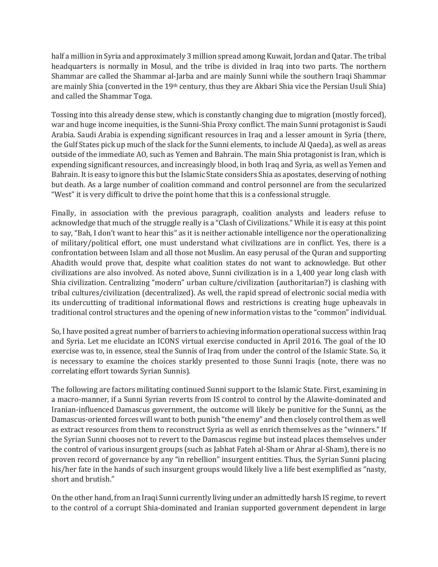half a million in Syria and approximately 3 million spread among Kuwait, Jordan and Qatar. The tribal headquarters is normally in Mosul, and the tribe is divided in Iraq into two parts. The northern Shammar are called the Shammar al-Jarba and are mainly Sunni while the southern Iraqi Shammar are mainly Shia (converted in the 19th century, thus they are Akbari Shia vice the Persian Usuli Shia) and called the Shammar Toga.

Tossing into this already dense stew, which is constantly changing due to migration (mostly forced), war and huge income inequities, is the Sunni-Shia Proxy conflict. The main Sunni protagonist is Saudi Arabia. Saudi Arabia is expending significant resources in Iraq and a lesser amount in Syria (there, the Gulf States pick up much of the slack for the Sunni elements, to include Al Qaeda), as well as areas outside of the immediate AO, such as Yemen and Bahrain. The main Shia protagonist is Iran, which is expending significant resources, and increasingly blood, in both Iraq and Syria, as well as Yemen and Bahrain. It is easy to ignore this but the Islamic State considers Shia as apostates, deserving of nothing but death. As a large number of coalition command and control personnel are from the secularized "West" it is very difficult to drive the point home that this is a confessional struggle.

Finally, in association with the previous paragraph, coalition analysts and leaders refuse to acknowledge that much of the struggle really is a "Clash of Civilizations." While it is easy at this point to say, "Bah, I don't want to hear this" as it is neither actionable intelligence nor the operationalizing of military/political effort, one must understand what civilizations are in conflict. Yes, there is a confrontation between Islam and all those not Muslim. An easy perusal of the Quran and supporting Ahadith would prove that, despite what coalition states do not want to acknowledge. But other civilizations are also involved. As noted above, Sunni civilization is in a 1,400 year long clash with Shia civilization. Centralizing "modern" urban culture/civilization (authoritarian?) is clashing with tribal cultures/civilization (decentralized). As well, the rapid spread of electronic social media with its undercutting of traditional informational flows and restrictions is creating huge upheavals in traditional control structures and the opening of new information vistas to the "common" individual.

So, I have posited a great number of barriers to achieving information operational success within Iraq and Syria. Let me elucidate an ICONS virtual exercise conducted in April 2016. The goal of the IO exercise was to, in essence, steal the Sunnis of Iraq from under the control of the Islamic State. So, it is necessary to examine the choices starkly presented to those Sunni Iraqis (note, there was no correlating effort towards Syrian Sunnis).

The following are factors militating continued Sunni support to the Islamic State. First, examining in a macro-manner, if a Sunni Syrian reverts from IS control to control by the Alawite-dominated and Iranian-influenced Damascus government, the outcome will likely be punitive for the Sunni, as the Damascus-oriented forces will want to both punish "the enemy" and then closely control them as well as extract resources from them to reconstruct Syria as well as enrich themselves as the "winners." If the Syrian Sunni chooses not to revert to the Damascus regime but instead places themselves under the control of various insurgent groups (such as Jabhat Fateh al-Sham or Ahrar al-Sham), there is no proven record of governance by any "in rebellion" insurgent entities. Thus, the Syrian Sunni placing his/her fate in the hands of such insurgent groups would likely live a life best exemplified as "nasty, short and brutish."

On the other hand, from an Iraqi Sunni currently living under an admittedly harsh IS regime, to revert to the control of a corrupt Shia-dominated and Iranian supported government dependent in large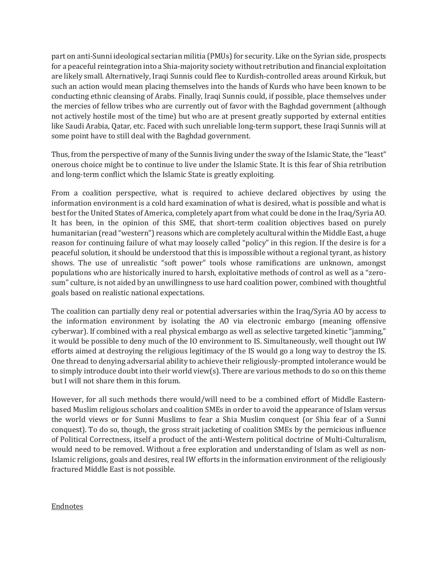part on anti-Sunni ideological sectarian militia (PMUs) for security. Like on the Syrian side, prospects for a peaceful reintegration into a Shia-majority society without retribution and financial exploitation are likely small. Alternatively, Iraqi Sunnis could flee to Kurdish-controlled areas around Kirkuk, but such an action would mean placing themselves into the hands of Kurds who have been known to be conducting ethnic cleansing of Arabs. Finally, Iraqi Sunnis could, if possible, place themselves under the mercies of fellow tribes who are currently out of favor with the Baghdad government (although not actively hostile most of the time) but who are at present greatly supported by external entities like Saudi Arabia, Qatar, etc. Faced with such unreliable long-term support, these Iraqi Sunnis will at some point have to still deal with the Baghdad government.

Thus, from the perspective of many of the Sunnis living under the sway of the Islamic State, the "least" onerous choice might be to continue to live under the Islamic State. It is this fear of Shia retribution and long-term conflict which the Islamic State is greatly exploiting.

From a coalition perspective, what is required to achieve declared objectives by using the information environment is a cold hard examination of what is desired, what is possible and what is best for the United States of America, completely apart from what could be done in the Iraq/Syria AO. It has been, in the opinion of this SME, that short-term coalition objectives based on purely humanitarian (read "western") reasons which are completely acultural within the Middle East, a huge reason for continuing failure of what may loosely called "policy" in this region. If the desire is for a peaceful solution, it should be understood that this is impossible without a regional tyrant, as history shows. The use of unrealistic "soft power" tools whose ramifications are unknown, amongst populations who are historically inured to harsh, exploitative methods of control as well as a "zerosum" culture, is not aided by an unwillingness to use hard coalition power, combined with thoughtful goals based on realistic national expectations.

The coalition can partially deny real or potential adversaries within the Iraq/Syria AO by access to the information environment by isolating the AO via electronic embargo (meaning offensive cyberwar). If combined with a real physical embargo as well as selective targeted kinetic "jamming," it would be possible to deny much of the IO environment to IS. Simultaneously, well thought out IW efforts aimed at destroying the religious legitimacy of the IS would go a long way to destroy the IS. One thread to denying adversarial ability to achieve their religiously-prompted intolerance would be to simply introduce doubt into their world view(s). There are various methods to do so on this theme but I will not share them in this forum.

However, for all such methods there would/will need to be a combined effort of Middle Easternbased Muslim religious scholars and coalition SMEs in order to avoid the appearance of Islam versus the world views or for Sunni Muslims to fear a Shia Muslim conquest (or Shia fear of a Sunni conquest). To do so, though, the gross strait jacketing of coalition SMEs by the pernicious influence of Political Correctness, itself a product of the anti-Western political doctrine of Multi-Culturalism, would need to be removed. Without a free exploration and understanding of Islam as well as non-Islamic religions, goals and desires, real IW efforts in the information environment of the religiously fractured Middle East is not possible.

# Endnotes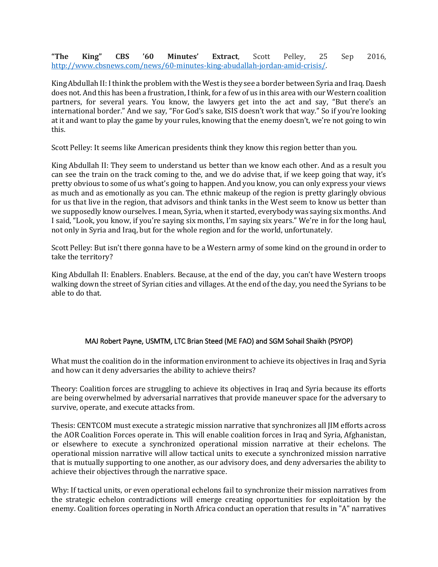**"The King" CBS '60 Minutes' Extract**, Scott Pelley, 25 Sep 2016, [http://www.cbsnews.com/news/60-minutes-king-abudallah-jordan-amid-crisis/.](http://www.cbsnews.com/news/60-minutes-king-abudallah-jordan-amid-crisis/)

King Abdullah II:I think the problem with the West is they see a border between Syria and Iraq. Daesh does not. And this has been a frustration, I think, for a few of us in this area with our Western coalition partners, for several years. You know, the lawyers get into the act and say, "But there's an international border." And we say, "For God's sake, ISIS doesn't work that way." So if you're looking at it and want to play the game by your rules, knowing that the enemy doesn't, we're not going to win this.

Scott Pelley: It seems like American presidents think they know this region better than you.

King Abdullah II: They seem to understand us better than we know each other. And as a result you can see the train on the track coming to the, and we do advise that, if we keep going that way, it's pretty obvious to some of us what's going to happen. And you know, you can only express your views as much and as emotionally as you can. The ethnic makeup of the region is pretty glaringly obvious for us that live in the region, that advisors and think tanks in the West seem to know us better than we supposedly know ourselves. I mean, Syria, when it started, everybody was saying six months. And I said, "Look, you know, if you're saying six months, I'm saying six years." We're in for the long haul, not only in Syria and Iraq, but for the whole region and for the world, unfortunately.

Scott Pelley: But isn't there gonna have to be a Western army of some kind on the ground in order to take the territory?

King Abdullah II: Enablers. Enablers. Because, at the end of the day, you can't have Western troops walking down the street of Syrian cities and villages. At the end of the day, you need the Syrians to be able to do that.

# MAJ Robert Payne, USMTM, LTC Brian Steed (ME FAO) and SGM Sohail Shaikh (PSYOP)

What must the coalition do in the information environment to achieve its objectives in Iraq and Syria and how can it deny adversaries the ability to achieve theirs?

Theory: Coalition forces are struggling to achieve its objectives in Iraq and Syria because its efforts are being overwhelmed by adversarial narratives that provide maneuver space for the adversary to survive, operate, and execute attacks from.

Thesis: CENTCOM must execute a strategic mission narrative that synchronizes all JIM efforts across the AOR Coalition Forces operate in. This will enable coalition forces in Iraq and Syria, Afghanistan, or elsewhere to execute a synchronized operational mission narrative at their echelons. The operational mission narrative will allow tactical units to execute a synchronized mission narrative that is mutually supporting to one another, as our advisory does, and deny adversaries the ability to achieve their objectives through the narrative space.

Why: If tactical units, or even operational echelons fail to synchronize their mission narratives from the strategic echelon contradictions will emerge creating opportunities for exploitation by the enemy. Coalition forces operating in North Africa conduct an operation that results in "A" narratives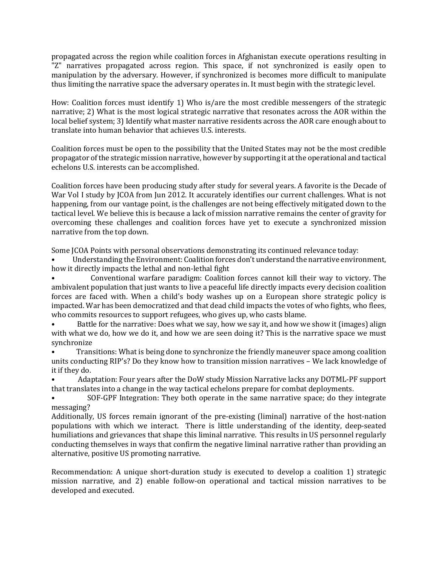propagated across the region while coalition forces in Afghanistan execute operations resulting in "Z" narratives propagated across region. This space, if not synchronized is easily open to manipulation by the adversary. However, if synchronized is becomes more difficult to manipulate thus limiting the narrative space the adversary operates in. It must begin with the strategic level.

How: Coalition forces must identify 1) Who is/are the most credible messengers of the strategic narrative; 2) What is the most logical strategic narrative that resonates across the AOR within the local belief system; 3) Identify what master narrative residents across the AOR care enough about to translate into human behavior that achieves U.S. interests.

Coalition forces must be open to the possibility that the United States may not be the most credible propagator of the strategic mission narrative, however by supporting it at the operational and tactical echelons U.S. interests can be accomplished.

Coalition forces have been producing study after study for several years. A favorite is the Decade of War Vol I study by JCOA from Jun 2012. It accurately identifies our current challenges. What is not happening, from our vantage point, is the challenges are not being effectively mitigated down to the tactical level. We believe this is because a lack of mission narrative remains the center of gravity for overcoming these challenges and coalition forces have yet to execute a synchronized mission narrative from the top down.

Some JCOA Points with personal observations demonstrating its continued relevance today:

• Understanding the Environment: Coalition forces don't understand the narrative environment, how it directly impacts the lethal and non-lethal fight

• Conventional warfare paradigm: Coalition forces cannot kill their way to victory. The ambivalent population that just wants to live a peaceful life directly impacts every decision coalition forces are faced with. When a child's body washes up on a European shore strategic policy is impacted. War has been democratized and that dead child impacts the votes of who fights, who flees, who commits resources to support refugees, who gives up, who casts blame.

• Battle for the narrative: Does what we say, how we say it, and how we show it (images) align with what we do, how we do it, and how we are seen doing it? This is the narrative space we must synchronize<br>Trans

• Transitions: What is being done to synchronize the friendly maneuver space among coalition units conducting RIP's? Do they know how to transition mission narratives – We lack knowledge of it if they do.

• Adaptation: Four years after the DoW study Mission Narrative lacks any DOTML-PF support that translates into a change in the way tactical echelons prepare for combat deployments.

• SOF-GPF Integration: They both operate in the same narrative space; do they integrate messaging?

Additionally, US forces remain ignorant of the pre-existing (liminal) narrative of the host-nation populations with which we interact. There is little understanding of the identity, deep-seated humiliations and grievances that shape this liminal narrative. This results in US personnel regularly conducting themselves in ways that confirm the negative liminal narrative rather than providing an alternative, positive US promoting narrative.

Recommendation: A unique short-duration study is executed to develop a coalition 1) strategic mission narrative, and 2) enable follow-on operational and tactical mission narratives to be developed and executed.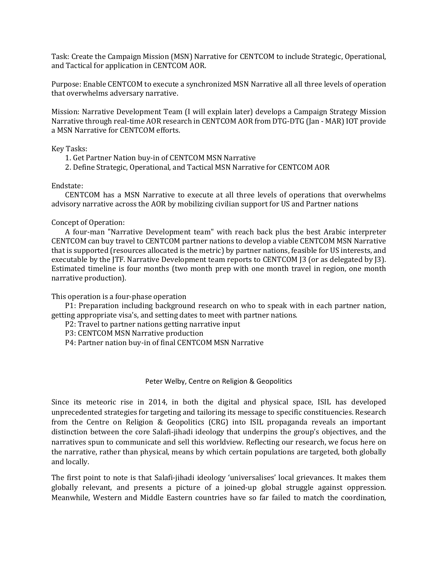Task: Create the Campaign Mission (MSN) Narrative for CENTCOM to include Strategic, Operational, and Tactical for application in CENTCOM AOR.

Purpose: Enable CENTCOM to execute a synchronized MSN Narrative all all three levels of operation that overwhelms adversary narrative.

Mission: Narrative Development Team (I will explain later) develops a Campaign Strategy Mission Narrative through real-time AOR research in CENTCOM AOR from DTG-DTG (Jan - MAR) IOT provide a MSN Narrative for CENTCOM efforts.

#### Key Tasks:

- 1. Get Partner Nation buy-in of CENTCOM MSN Narrative
- 2. Define Strategic, Operational, and Tactical MSN Narrative for CENTCOM AOR

#### Endstate:

 CENTCOM has a MSN Narrative to execute at all three levels of operations that overwhelms advisory narrative across the AOR by mobilizing civilian support for US and Partner nations

#### Concept of Operation:

 A four-man "Narrative Development team" with reach back plus the best Arabic interpreter CENTCOM can buy travel to CENTCOM partner nations to develop a viable CENTCOM MSN Narrative that is supported (resources allocated is the metric) by partner nations, feasible for US interests, and executable by the JTF. Narrative Development team reports to CENTCOM J3 (or as delegated by J3). Estimated timeline is four months (two month prep with one month travel in region, one month narrative production).

This operation is a four-phase operation

 P1: Preparation including background research on who to speak with in each partner nation, getting appropriate visa's, and setting dates to meet with partner nations.

P2: Travel to partner nations getting narrative input

P3: CENTCOM MSN Narrative production

P4: Partner nation buy-in of final CENTCOM MSN Narrative

#### Peter Welby, Centre on Religion & Geopolitics

Since its meteoric rise in 2014, in both the digital and physical space, ISIL has developed unprecedented strategies for targeting and tailoring its message to specific constituencies. Research from the Centre on Religion & Geopolitics (CRG) into ISIL propaganda reveals an important distinction between the core Salafi-jihadi ideology that underpins the group's objectives, and the narratives spun to communicate and sell this worldview. Reflecting our research, we focus here on the narrative, rather than physical, means by which certain populations are targeted, both globally and locally.

The first point to note is that Salafi-jihadi ideology 'universalises' local grievances. It makes them globally relevant, and presents a picture of a joined-up global struggle against oppression. Meanwhile, Western and Middle Eastern countries have so far failed to match the coordination,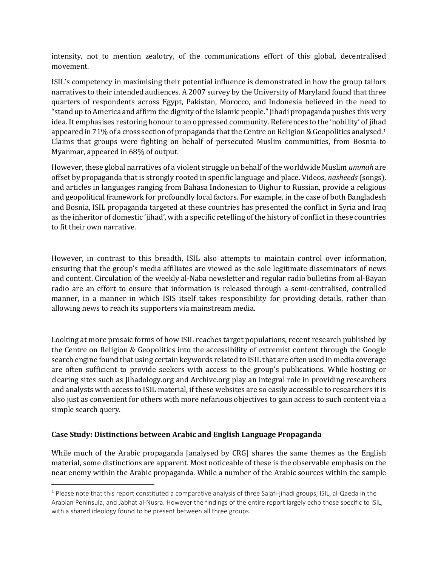intensity, not to mention zealotry, of the communications effort of this global, decentralised movement.

ISIL's competency in maximising their potential influence is demonstrated in how the group tailors narratives to their intended audiences. A 2007 survey by the University of Maryland found that three quarters of respondents across Egypt, Pakistan, Morocco, and Indonesia believed in the need to "stand up to America and affirm the dignity of the Islamic people." Jihadi propaganda pushes this very idea. It emphasises restoring honour to an oppressed community. References to the 'nobility' of jihad appeared in 71% of a cross section of propaganda that the Centre on Religion & Geopolitics analysed.[1](#page-10-0) Claims that groups were fighting on behalf of persecuted Muslim communities, from Bosnia to Myanmar, appeared in 68% of output.

However, these global narratives of a violent struggle on behalf of the worldwide Muslim *ummah* are offset by propaganda that is strongly rooted in specific language and place. Videos, *nasheeds* (songs), and articles in languages ranging from Bahasa Indonesian to Uighur to Russian, provide a religious and geopolitical framework for profoundly local factors. For example, in the case of both Bangladesh and Bosnia, ISIL propaganda targeted at these countries has presented the conflict in Syria and Iraq as the inheritor of domestic 'jihad', with a specific retelling of the history of conflict in these countries to fit their own narrative.

However, in contrast to this breadth, ISIL also attempts to maintain control over information, ensuring that the group's media affiliates are viewed as the sole legitimate disseminators of news and content. Circulation of the weekly al-Naba newsletter and regular radio bulletins from al-Bayan radio are an effort to ensure that information is released through a semi-centralised, controlled manner, in a manner in which ISIS itself takes responsibility for providing details, rather than allowing news to reach its supporters via mainstream media.

Looking at more prosaic forms of how ISIL reaches target populations, recent research published by the Centre on Religion & Geopolitics into the accessibility of extremist content through the Google search engine found that using certain keywords related to ISIL that are often used in media coverage are often sufficient to provide seekers with access to the group's publications. While hosting or clearing sites such as Jihadology.org and Archive.org play an integral role in providing researchers and analysts with access to ISIL material, if these websites are so easily accessible to researchers it is also just as convenient for others with more nefarious objectives to gain access to such content via a simple search query.

# **Case Study: Distinctions between Arabic and English Language Propaganda**

 $\overline{\phantom{a}}$ 

While much of the Arabic propaganda [analysed by CRG] shares the same themes as the English material, some distinctions are apparent. Most noticeable of these is the observable emphasis on the near enemy within the Arabic propaganda. While a number of the Arabic sources within the sample

<span id="page-10-0"></span> $1$  Please note that this report constituted a comparative analysis of three Salafi-jihadi groups; ISIL, al-Qaeda in the Arabian Peninsula, and Jabhat al-Nusra. However the findings of the entire report largely echo those specific to ISIL, with a shared ideology found to be present between all three groups.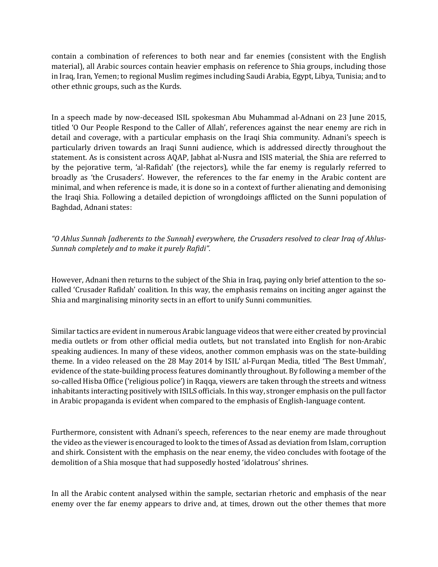contain a combination of references to both near and far enemies (consistent with the English material), all Arabic sources contain heavier emphasis on reference to Shia groups, including those in Iraq, Iran, Yemen; to regional Muslim regimes including Saudi Arabia, Egypt, Libya, Tunisia; and to other ethnic groups, such as the Kurds.

In a speech made by now-deceased ISIL spokesman Abu Muhammad al-Adnani on 23 June 2015, titled 'O Our People Respond to the Caller of Allah', references against the near enemy are rich in detail and coverage, with a particular emphasis on the Iraqi Shia community. Adnani's speech is particularly driven towards an Iraqi Sunni audience, which is addressed directly throughout the statement. As is consistent across AQAP, Jabhat al-Nusra and ISIS material, the Shia are referred to by the pejorative term, 'al-Rafidah' (the rejectors), while the far enemy is regularly referred to broadly as 'the Crusaders'. However, the references to the far enemy in the Arabic content are minimal, and when reference is made, it is done so in a context of further alienating and demonising the Iraqi Shia. Following a detailed depiction of wrongdoings afflicted on the Sunni population of Baghdad, Adnani states:

*"O Ahlus Sunnah [adherents to the Sunnah] everywhere, the Crusaders resolved to clear Iraq of Ahlus-Sunnah completely and to make it purely Rafidi".*

However, Adnani then returns to the subject of the Shia in Iraq, paying only brief attention to the socalled 'Crusader Rafidah' coalition. In this way, the emphasis remains on inciting anger against the Shia and marginalising minority sects in an effort to unify Sunni communities.

Similar tactics are evident in numerous Arabic language videos that were either created by provincial media outlets or from other official media outlets, but not translated into English for non-Arabic speaking audiences. In many of these videos, another common emphasis was on the state-building theme. In a video released on the 28 May 2014 by ISIL' al-Furqan Media, titled 'The Best Ummah', evidence of the state-building process features dominantly throughout. By following a member of the so-called Hisba Office ('religious police') in Raqqa, viewers are taken through the streets and witness inhabitants interacting positively with ISILS officials. In this way, stronger emphasis on the pull factor in Arabic propaganda is evident when compared to the emphasis of English-language content.

Furthermore, consistent with Adnani's speech, references to the near enemy are made throughout the video as the viewer is encouraged to look to the times of Assad as deviation from Islam, corruption and shirk. Consistent with the emphasis on the near enemy, the video concludes with footage of the demolition of a Shia mosque that had supposedly hosted 'idolatrous' shrines.

In all the Arabic content analysed within the sample, sectarian rhetoric and emphasis of the near enemy over the far enemy appears to drive and, at times, drown out the other themes that more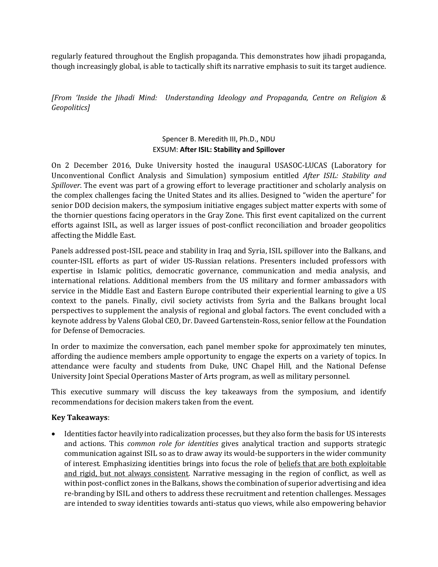regularly featured throughout the English propaganda. This demonstrates how jihadi propaganda, though increasingly global, is able to tactically shift its narrative emphasis to suit its target audience.

*[From 'Inside the Jihadi Mind: Understanding Ideology and Propaganda, Centre on Religion & Geopolitics]*

## Spencer B. Meredith III, Ph.D., NDU EXSUM: **After ISIL: Stability and Spillover**

On 2 December 2016, Duke University hosted the inaugural USASOC-LUCAS (Laboratory for Unconventional Conflict Analysis and Simulation) symposium entitled *After ISIL: Stability and Spillover*. The event was part of a growing effort to leverage practitioner and scholarly analysis on the complex challenges facing the United States and its allies. Designed to "widen the aperture" for senior DOD decision makers, the symposium initiative engages subject matter experts with some of the thornier questions facing operators in the Gray Zone. This first event capitalized on the current efforts against ISIL, as well as larger issues of post-conflict reconciliation and broader geopolitics affecting the Middle East.

Panels addressed post-ISIL peace and stability in Iraq and Syria, ISIL spillover into the Balkans, and counter-ISIL efforts as part of wider US-Russian relations. Presenters included professors with expertise in Islamic politics, democratic governance, communication and media analysis, and international relations. Additional members from the US military and former ambassadors with service in the Middle East and Eastern Europe contributed their experiential learning to give a US context to the panels. Finally, civil society activists from Syria and the Balkans brought local perspectives to supplement the analysis of regional and global factors. The event concluded with a keynote address by Valens Global CEO, Dr. Daveed Gartenstein-Ross, senior fellow at the Foundation for Defense of Democracies.

In order to maximize the conversation, each panel member spoke for approximately ten minutes, affording the audience members ample opportunity to engage the experts on a variety of topics. In attendance were faculty and students from Duke, UNC Chapel Hill, and the National Defense University Joint Special Operations Master of Arts program, as well as military personnel.

This executive summary will discuss the key takeaways from the symposium, and identify recommendations for decision makers taken from the event.

# **Key Takeaways**:

• Identities factor heavily into radicalization processes, but they also form the basis for US interests and actions. This *common role for identities* gives analytical traction and supports strategic communication against ISIL so as to draw away its would-be supporters in the wider community of interest. Emphasizing identities brings into focus the role of beliefs that are both exploitable and rigid, but not always consistent. Narrative messaging in the region of conflict, as well as within post-conflict zones in the Balkans, shows the combination of superior advertising and idea re-branding by ISIL and others to address these recruitment and retention challenges. Messages are intended to sway identities towards anti-status quo views, while also empowering behavior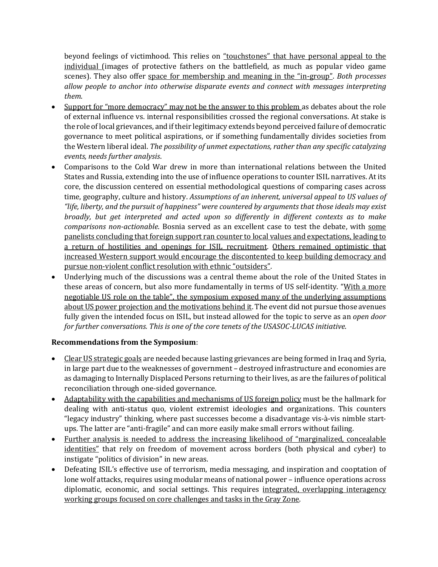beyond feelings of victimhood. This relies on "touchstones" that have personal appeal to the individual (images of protective fathers on the battlefield, as much as popular video game scenes). They also offer space for membership and meaning in the "in-group". *Both processes allow people to anchor into otherwise disparate events and connect with messages interpreting them*.

- Support for "more democracy" may not be the answer to this problem as debates about the role of external influence vs. internal responsibilities crossed the regional conversations. At stake is the role of local grievances, and if their legitimacy extends beyond perceived failure of democratic governance to meet political aspirations, or if something fundamentally divides societies from the Western liberal ideal. *The possibility of unmet expectations, rather than any specific catalyzing events, needs further analysis*.
- Comparisons to the Cold War drew in more than international relations between the United States and Russia, extending into the use of influence operations to counter ISIL narratives. At its core, the discussion centered on essential methodological questions of comparing cases across time, geography, culture and history. *Assumptions of an inherent, universal appeal to US values of "life, liberty, and the pursuit of happiness" were countered by arguments that those ideals may exist broadly, but get interpreted and acted upon so differently in different contexts as to make comparisons non-actionable*. Bosnia served as an excellent case to test the debate, with some panelists concluding that foreign support ran counter to local values and expectations, leading to a return of hostilities and openings for ISIL recruitment. Others remained optimistic that increased Western support would encourage the discontented to keep building democracy and pursue non-violent conflict resolution with ethnic "outsiders".
- Underlying much of the discussions was a central theme about the role of the United States in these areas of concern, but also more fundamentally in terms of US self-identity. "With a more negotiable US role on the table", the symposium exposed many of the underlying assumptions about US power projection and the motivations behind it. The event did not pursue those avenues fully given the intended focus on ISIL, but instead allowed for the topic to serve as an *open door for further conversations. This is one of the core tenets of the USASOC-LUCAS initiative*.

# **Recommendations from the Symposium**:

- Clear US strategic goals are needed because lasting grievances are being formed in Iraq and Syria, in large part due to the weaknesses of government – destroyed infrastructure and economies are as damaging to Internally Displaced Persons returning to their lives, as are the failures of political reconciliation through one-sided governance.
- Adaptability with the capabilities and mechanisms of US foreign policy must be the hallmark for dealing with anti-status quo, violent extremist ideologies and organizations. This counters "legacy industry" thinking, where past successes become a disadvantage vis-à-vis nimble startups. The latter are "anti-fragile" and can more easily make small errors without failing.
- Further analysis is needed to address the increasing likelihood of "marginalized, concealable identities" that rely on freedom of movement across borders (both physical and cyber) to instigate "politics of division" in new areas.
- Defeating ISIL's effective use of terrorism, media messaging, and inspiration and cooptation of lone wolf attacks, requires using modular means of national power – influence operations across diplomatic, economic, and social settings. This requires integrated, overlapping interagency working groups focused on core challenges and tasks in the Gray Zone.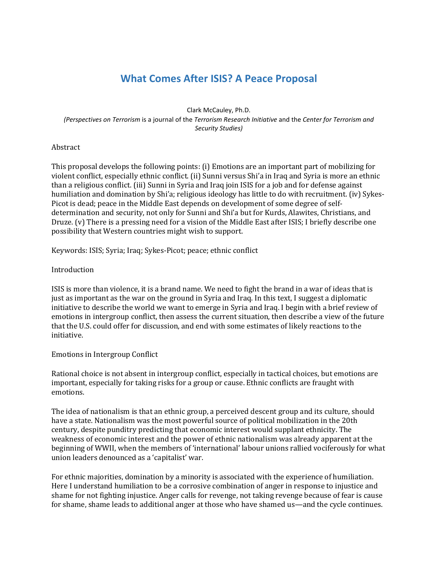# **What Comes After ISIS? A Peace Proposal**

Clark McCauley, Ph.D. *(Perspectives on Terrorism* is a journal of the *Terrorism Research Initiative* and the *Center for Terrorism and Security Studies)*

#### Abstract

This proposal develops the following points: (i) Emotions are an important part of mobilizing for violent conflict, especially ethnic conflict. (ii) Sunni versus Shi'a in Iraq and Syria is more an ethnic than a religious conflict. (iii) Sunni in Syria and Iraq join ISIS for a job and for defense against humiliation and domination by Shi'a; religious ideology has little to do with recruitment. (iv) Sykes-Picot is dead; peace in the Middle East depends on development of some degree of selfdetermination and security, not only for Sunni and Shi'a but for Kurds, Alawites, Christians, and Druze. (v) There is a pressing need for a vision of the Middle East after ISIS; I briefly describe one possibility that Western countries might wish to support.

Keywords: ISIS; Syria; Iraq; Sykes-Picot; peace; ethnic conflict

## **Introduction**

ISIS is more than violence, it is a brand name. We need to fight the brand in a war of ideas that is just as important as the war on the ground in Syria and Iraq. In this text, I suggest a diplomatic initiative to describe the world we want to emerge in Syria and Iraq. I begin with a brief review of emotions in intergroup conflict, then assess the current situation, then describe a view of the future that the U.S. could offer for discussion, and end with some estimates of likely reactions to the initiative.

#### Emotions in Intergroup Conflict

Rational choice is not absent in intergroup conflict, especially in tactical choices, but emotions are important, especially for taking risks for a group or cause. Ethnic conflicts are fraught with emotions.

The idea of nationalism is that an ethnic group, a perceived descent group and its culture, should have a state. Nationalism was the most powerful source of political mobilization in the 20th century, despite punditry predicting that economic interest would supplant ethnicity. The weakness of economic interest and the power of ethnic nationalism was already apparent at the beginning of WWII, when the members of 'international' labour unions rallied vociferously for what union leaders denounced as a 'capitalist' war.

For ethnic majorities, domination by a minority is associated with the experience of humiliation. Here I understand humiliation to be a corrosive combination of anger in response to injustice and shame for not fighting injustice. Anger calls for revenge, not taking revenge because of fear is cause for shame, shame leads to additional anger at those who have shamed us—and the cycle continues.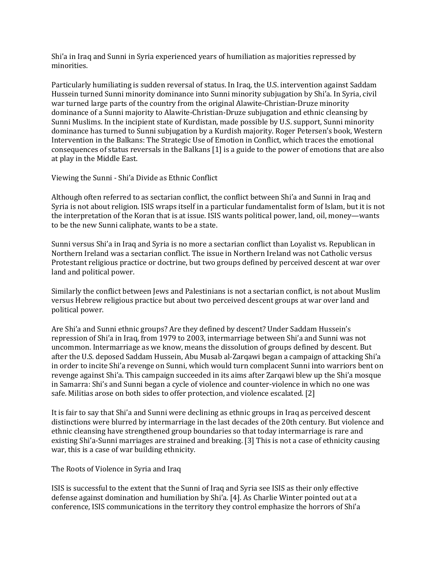Shi'a in Iraq and Sunni in Syria experienced years of humiliation as majorities repressed by minorities.

Particularly humiliating is sudden reversal of status. In Iraq, the U.S. intervention against Saddam Hussein turned Sunni minority dominance into Sunni minority subjugation by Shi'a. In Syria, civil war turned large parts of the country from the original Alawite-Christian-Druze minority dominance of a Sunni majority to Alawite-Christian-Druze subjugation and ethnic cleansing by Sunni Muslims. In the incipient state of Kurdistan, made possible by U.S. support, Sunni minority dominance has turned to Sunni subjugation by a Kurdish majority. Roger Petersen's book, Western Intervention in the Balkans: The Strategic Use of Emotion in Conflict, which traces the emotional consequences of status reversals in the Balkans [1] is a guide to the power of emotions that are also at play in the Middle East.

Viewing the Sunni - Shi'a Divide as Ethnic Conflict

Although often referred to as sectarian conflict, the conflict between Shi'a and Sunni in Iraq and Syria is not about religion. ISIS wraps itself in a particular fundamentalist form of Islam, but it is not the interpretation of the Koran that is at issue. ISIS wants political power, land, oil, money—wants to be the new Sunni caliphate, wants to be a state.

Sunni versus Shi'a in Iraq and Syria is no more a sectarian conflict than Loyalist vs. Republican in Northern Ireland was a sectarian conflict. The issue in Northern Ireland was not Catholic versus Protestant religious practice or doctrine, but two groups defined by perceived descent at war over land and political power.

Similarly the conflict between Jews and Palestinians is not a sectarian conflict, is not about Muslim versus Hebrew religious practice but about two perceived descent groups at war over land and political power.

Are Shi'a and Sunni ethnic groups? Are they defined by descent? Under Saddam Hussein's repression of Shi'a in Iraq, from 1979 to 2003, intermarriage between Shi'a and Sunni was not uncommon. Intermarriage as we know, means the dissolution of groups defined by descent. But after the U.S. deposed Saddam Hussein, Abu Musab al-Zarqawi began a campaign of attacking Shi'a in order to incite Shi'a revenge on Sunni, which would turn complacent Sunni into warriors bent on revenge against Shi'a. This campaign succeeded in its aims after Zarqawi blew up the Shi'a mosque in Samarra: Shi's and Sunni began a cycle of violence and counter-violence in which no one was safe. Militias arose on both sides to offer protection, and violence escalated. [2]

It is fair to say that Shi'a and Sunni were declining as ethnic groups in Iraq as perceived descent distinctions were blurred by intermarriage in the last decades of the 20th century. But violence and ethnic cleansing have strengthened group boundaries so that today intermarriage is rare and existing Shi'a-Sunni marriages are strained and breaking. [3] This is not a case of ethnicity causing war, this is a case of war building ethnicity.

The Roots of Violence in Syria and Iraq

ISIS is successful to the extent that the Sunni of Iraq and Syria see ISIS as their only effective defense against domination and humiliation by Shi'a. [4]. As Charlie Winter pointed out at a conference, ISIS communications in the territory they control emphasize the horrors of Shi'a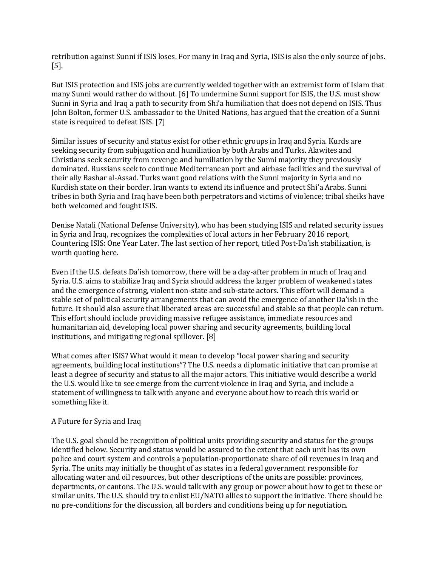retribution against Sunni if ISIS loses. For many in Iraq and Syria, ISIS is also the only source of jobs. [5].

But ISIS protection and ISIS jobs are currently welded together with an extremist form of Islam that many Sunni would rather do without. [6] To undermine Sunni support for ISIS, the U.S. must show Sunni in Syria and Iraq a path to security from Shi'a humiliation that does not depend on ISIS. Thus John Bolton, former U.S. ambassador to the United Nations, has argued that the creation of a Sunni state is required to defeat ISIS. [7]

Similar issues of security and status exist for other ethnic groups in Iraq and Syria. Kurds are seeking security from subjugation and humiliation by both Arabs and Turks. Alawites and Christians seek security from revenge and humiliation by the Sunni majority they previously dominated. Russians seek to continue Mediterranean port and airbase facilities and the survival of their ally Bashar al-Assad. Turks want good relations with the Sunni majority in Syria and no Kurdish state on their border. Iran wants to extend its influence and protect Shi'a Arabs. Sunni tribes in both Syria and Iraq have been both perpetrators and victims of violence; tribal sheiks have both welcomed and fought ISIS.

Denise Natali (National Defense University), who has been studying ISIS and related security issues in Syria and Iraq, recognizes the complexities of local actors in her February 2016 report, Countering ISIS: One Year Later. The last section of her report, titled Post-Da'ish stabilization, is worth quoting here.

Even if the U.S. defeats Da'ish tomorrow, there will be a day-after problem in much of Iraq and Syria. U.S. aims to stabilize Iraq and Syria should address the larger problem of weakened states and the emergence of strong, violent non-state and sub-state actors. This effort will demand a stable set of political security arrangements that can avoid the emergence of another Da'ish in the future. It should also assure that liberated areas are successful and stable so that people can return. This effort should include providing massive refugee assistance, immediate resources and humanitarian aid, developing local power sharing and security agreements, building local institutions, and mitigating regional spillover. [8]

What comes after ISIS? What would it mean to develop "local power sharing and security agreements, building local institutions"? The U.S. needs a diplomatic initiative that can promise at least a degree of security and status to all the major actors. This initiative would describe a world the U.S. would like to see emerge from the current violence in Iraq and Syria, and include a statement of willingness to talk with anyone and everyone about how to reach this world or something like it.

#### A Future for Syria and Iraq

The U.S. goal should be recognition of political units providing security and status for the groups identified below. Security and status would be assured to the extent that each unit has its own police and court system and controls a population-proportionate share of oil revenues in Iraq and Syria. The units may initially be thought of as states in a federal government responsible for allocating water and oil resources, but other descriptions of the units are possible: provinces, departments, or cantons. The U.S. would talk with any group or power about how to get to these or similar units. The U.S. should try to enlist EU/NATO allies to support the initiative. There should be no pre-conditions for the discussion, all borders and conditions being up for negotiation.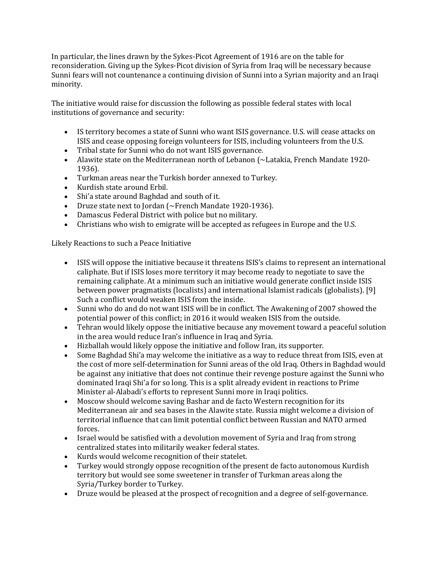In particular, the lines drawn by the Sykes-Picot Agreement of 1916 are on the table for reconsideration. Giving up the Sykes-Picot division of Syria from Iraq will be necessary because Sunni fears will not countenance a continuing division of Sunni into a Syrian majority and an Iraqi minority.

The initiative would raise for discussion the following as possible federal states with local institutions of governance and security:

- IS territory becomes a state of Sunni who want ISIS governance. U.S. will cease attacks on ISIS and cease opposing foreign volunteers for ISIS, including volunteers from the U.S.
- Tribal state for Sunni who do not want ISIS governance.
- Alawite state on the Mediterranean north of Lebanon (~Latakia, French Mandate 1920-1936).
- Turkman areas near the Turkish border annexed to Turkey.
- Kurdish state around Erbil.
- Shi'a state around Baghdad and south of it.
- Druze state next to Jordan (~French Mandate 1920-1936).
- Damascus Federal District with police but no military.
- Christians who wish to emigrate will be accepted as refugees in Europe and the U.S.

Likely Reactions to such a Peace Initiative

- ISIS will oppose the initiative because it threatens ISIS's claims to represent an international caliphate. But if ISIS loses more territory it may become ready to negotiate to save the remaining caliphate. At a minimum such an initiative would generate conflict inside ISIS between power pragmatists (localists) and international lslamist radicals (globalists). [9] Such a conflict would weaken ISIS from the inside.
- Sunni who do and do not want ISIS will be in conflict. The Awakening of 2007 showed the potential power of this conflict; in 2016 it would weaken ISIS from the outside.
- Tehran would likely oppose the initiative because any movement toward a peaceful solution in the area would reduce Iran's influence in Iraq and Syria.
- Hizballah would likely oppose the initiative and follow Iran, its supporter.
- Some Baghdad Shi'a may welcome the initiative as a way to reduce threat from ISIS, even at the cost of more self-determination for Sunni areas of the old Iraq. Others in Baghdad would be against any initiative that does not continue their revenge posture against the Sunni who dominated Iraqi Shi'a for so long. This is a split already evident in reactions to Prime Minister al-Alabadi's efforts to represent Sunni more in Iraqi politics.
- Moscow should welcome saving Bashar and de facto Western recognition for its Mediterranean air and sea bases in the Alawite state. Russia might welcome a division of territorial influence that can limit potential conflict between Russian and NATO armed forces.
- Israel would be satisfied with a devolution movement of Syria and Iraq from strong centralized states into militarily weaker federal states.
- Kurds would welcome recognition of their statelet.
- Turkey would strongly oppose recognition of the present de facto autonomous Kurdish territory but would see some sweetener in transfer of Turkman areas along the Syria/Turkey border to Turkey.
- Druze would be pleased at the prospect of recognition and a degree of self-governance.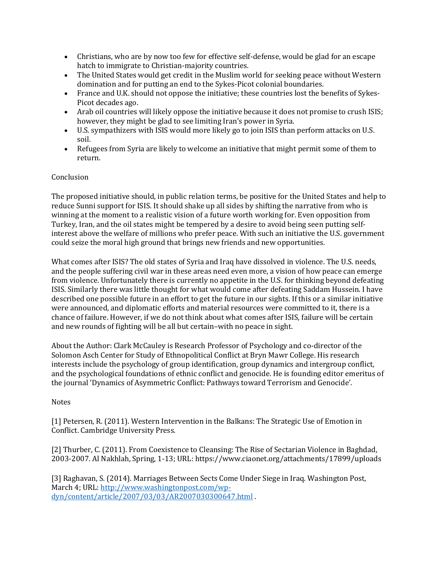- Christians, who are by now too few for effective self-defense, would be glad for an escape hatch to immigrate to Christian-majority countries.
- The United States would get credit in the Muslim world for seeking peace without Western domination and for putting an end to the Sykes-Picot colonial boundaries.
- France and U.K. should not oppose the initiative; these countries lost the benefits of Sykes-Picot decades ago.
- Arab oil countries will likely oppose the initiative because it does not promise to crush ISIS; however, they might be glad to see limiting Iran's power in Syria.
- U.S. sympathizers with ISIS would more likely go to join ISIS than perform attacks on U.S. soil.
- Refugees from Syria are likely to welcome an initiative that might permit some of them to return.

# Conclusion

The proposed initiative should, in public relation terms, be positive for the United States and help to reduce Sunni support for ISIS. It should shake up all sides by shifting the narrative from who is winning at the moment to a realistic vision of a future worth working for. Even opposition from Turkey, Iran, and the oil states might be tempered by a desire to avoid being seen putting selfinterest above the welfare of millions who prefer peace. With such an initiative the U.S. government could seize the moral high ground that brings new friends and new opportunities.

What comes after ISIS? The old states of Syria and Iraq have dissolved in violence. The U.S. needs, and the people suffering civil war in these areas need even more, a vision of how peace can emerge from violence. Unfortunately there is currently no appetite in the U.S. for thinking beyond defeating ISIS. Similarly there was little thought for what would come after defeating Saddam Hussein. I have described one possible future in an effort to get the future in our sights. If this or a similar initiative were announced, and diplomatic efforts and material resources were committed to it, there is a chance of failure. However, if we do not think about what comes after ISIS, failure will be certain and new rounds of fighting will be all but certain–with no peace in sight.

About the Author: Clark McCauley is Research Professor of Psychology and co-director of the Solomon Asch Center for Study of Ethnopolitical Conflict at Bryn Mawr College. His research interests include the psychology of group identification, group dynamics and intergroup conflict, and the psychological foundations of ethnic conflict and genocide. He is founding editor emeritus of the journal 'Dynamics of Asymmetric Conflict: Pathways toward Terrorism and Genocide'.

# Notes

[1] Petersen, R. (2011). Western Intervention in the Balkans: The Strategic Use of Emotion in Conflict. Cambridge University Press.

[2] Thurber, C. (2011). From Coexistence to Cleansing: The Rise of Sectarian Violence in Baghdad, 2003-2007. Al Nakhlah, Spring, 1-13; URL: https://www.ciaonet.org/attachments/17899/uploads

[3] Raghavan, S. (2014). Marriages Between Sects Come Under Siege in Iraq. Washington Post, March 4; URL: [http://www.washingtonpost.com/wp](http://www.washingtonpost.com/wp-dyn/content/article/2007/03/03/AR2007030300647.html)[dyn/content/article/2007/03/03/AR2007030300647.html](http://www.washingtonpost.com/wp-dyn/content/article/2007/03/03/AR2007030300647.html) .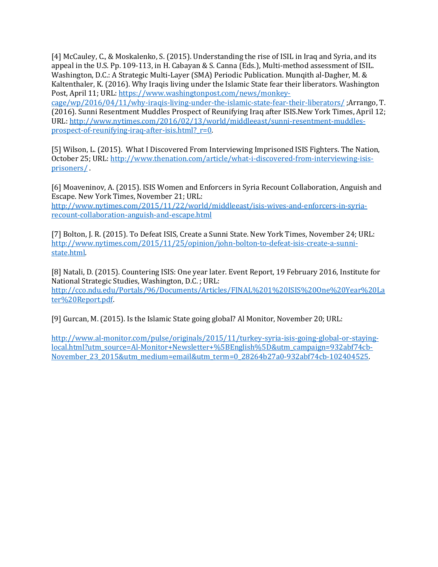[4] McCauley, C., & Moskalenko, S. (2015). Understanding the rise of ISIL in Iraq and Syria, and its appeal in the U.S. Pp. 109-113, in H. Cabayan & S. Canna (Eds.), Multi-method assessment of ISIL. Washington, D.C.: A Strategic Multi-Layer (SMA) Periodic Publication. Munqith al-Dagher, M. & Kaltenthaler, K. (2016). Why Iraqis living under the Islamic State fear their liberators. Washington Post, April 11; URL: [https://www.washingtonpost.com/news/monkey](https://www.washingtonpost.com/news/monkey-cage/wp/2016/04/11/why-iraqis-living-under-the-islamic-state-fear-their-liberators/)[cage/wp/2016/04/11/why-iraqis-living-under-the-islamic-state-fear-their-liberators/](https://www.washingtonpost.com/news/monkey-cage/wp/2016/04/11/why-iraqis-living-under-the-islamic-state-fear-their-liberators/) ;Arrango, T.

(2016). Sunni Resentment Muddles Prospect of Reunifying Iraq after ISIS.New York Times, April 12; URL: [http://www.nytimes.com/2016/02/13/world/middleeast/sunni-resentment-muddles](http://www.nytimes.com/2016/02/13/world/middleeast/sunni-resentment-muddles-prospect-of-reunifying-iraq-after-isis.html?_r=0)[prospect-of-reunifying-iraq-after-isis.html?\\_r=0.](http://www.nytimes.com/2016/02/13/world/middleeast/sunni-resentment-muddles-prospect-of-reunifying-iraq-after-isis.html?_r=0)

[5] Wilson, L. (2015). What I Discovered From Interviewing Imprisoned ISIS Fighters. The Nation, October 25; URL[: http://www.thenation.com/article/what-i-discovered-from-interviewing-isis](http://www.thenation.com/article/what-i-discovered-from-interviewing-isis-prisoners/)[prisoners/](http://www.thenation.com/article/what-i-discovered-from-interviewing-isis-prisoners/) .

[6] Moaveninov, A. (2015). ISIS Women and Enforcers in Syria Recount Collaboration, Anguish and Escape. New York Times, November 21; URL:

[http://www.nytimes.com/2015/11/22/world/middleeast/isis-wives-and-enforcers-in-syria](http://www.nytimes.com/2015/11/22/world/middleeast/isis-wives-and-enforcers-in-syria-recount-collaboration-anguish-and-escape.html)[recount-collaboration-anguish-and-escape.html](http://www.nytimes.com/2015/11/22/world/middleeast/isis-wives-and-enforcers-in-syria-recount-collaboration-anguish-and-escape.html)

[7] Bolton, J. R. (2015). To Defeat ISIS, Create a Sunni State. New York Times, November 24; URL: [http://www.nytimes.com/2015/11/25/opinion/john-bolton-to-defeat-isis-create-a-sunni](http://www.nytimes.com/2015/11/25/opinion/john-bolton-to-defeat-isis-create-a-sunni-state.html)[state.html.](http://www.nytimes.com/2015/11/25/opinion/john-bolton-to-defeat-isis-create-a-sunni-state.html)

[8] Natali, D. (2015). Countering ISIS: One year later. Event Report, 19 February 2016, Institute for National Strategic Studies, Washington, D.C. ; URL: [http://cco.ndu.edu/Portals/96/Documents/Articles/FINAL%201%20ISIS%20One%20Year%20La](http://cco.ndu.edu/Portals/96/Documents/Articles/FINAL%201%20ISIS%20One%20Year%20Later%20Report.pdf) [ter%20Report.pdf.](http://cco.ndu.edu/Portals/96/Documents/Articles/FINAL%201%20ISIS%20One%20Year%20Later%20Report.pdf)

[9] Gurcan, M. (2015). Is the Islamic State going global? Al Monitor, November 20; URL:

[http://www.al-monitor.com/pulse/originals/2015/11/turkey-syria-isis-going-global-or-staying](http://www.al-monitor.com/pulse/originals/2015/11/turkey-syria-isis-going-global-or-staying-local.html?utm_source=Al-Monitor+Newsletter+%5BEnglish%5D&utm_campaign=932abf74cb-November_23_2015&utm_medium=email&utm_term=0_28264b27a0-932abf74cb-102404525)[local.html?utm\\_source=Al-Monitor+Newsletter+%5BEnglish%5D&utm\\_campaign=932abf74cb-](http://www.al-monitor.com/pulse/originals/2015/11/turkey-syria-isis-going-global-or-staying-local.html?utm_source=Al-Monitor+Newsletter+%5BEnglish%5D&utm_campaign=932abf74cb-November_23_2015&utm_medium=email&utm_term=0_28264b27a0-932abf74cb-102404525)[November\\_23\\_2015&utm\\_medium=email&utm\\_term=0\\_28264b27a0-932abf74cb-102404525.](http://www.al-monitor.com/pulse/originals/2015/11/turkey-syria-isis-going-global-or-staying-local.html?utm_source=Al-Monitor+Newsletter+%5BEnglish%5D&utm_campaign=932abf74cb-November_23_2015&utm_medium=email&utm_term=0_28264b27a0-932abf74cb-102404525)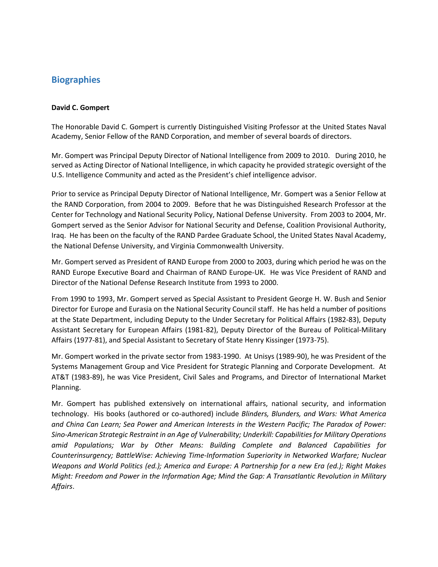# **Biographies**

#### **David C. Gompert**

The Honorable David C. Gompert is currently Distinguished Visiting Professor at the United States Naval Academy, Senior Fellow of the RAND Corporation, and member of several boards of directors.

Mr. Gompert was Principal Deputy Director of National Intelligence from 2009 to 2010. During 2010, he served as Acting Director of National Intelligence, in which capacity he provided strategic oversight of the U.S. Intelligence Community and acted as the President's chief intelligence advisor.

Prior to service as Principal Deputy Director of National Intelligence, Mr. Gompert was a Senior Fellow at the RAND Corporation, from 2004 to 2009. Before that he was Distinguished Research Professor at the Center for Technology and National Security Policy, National Defense University. From 2003 to 2004, Mr. Gompert served as the Senior Advisor for National Security and Defense, Coalition Provisional Authority, Iraq. He has been on the faculty of the RAND Pardee Graduate School, the United States Naval Academy, the National Defense University, and Virginia Commonwealth University.

Mr. Gompert served as President of RAND Europe from 2000 to 2003, during which period he was on the RAND Europe Executive Board and Chairman of RAND Europe-UK. He was Vice President of RAND and Director of the National Defense Research Institute from 1993 to 2000.

From 1990 to 1993, Mr. Gompert served as Special Assistant to President George H. W. Bush and Senior Director for Europe and Eurasia on the National Security Council staff. He has held a number of positions at the State Department, including Deputy to the Under Secretary for Political Affairs (1982-83), Deputy Assistant Secretary for European Affairs (1981-82), Deputy Director of the Bureau of Political-Military Affairs (1977-81), and Special Assistant to Secretary of State Henry Kissinger (1973-75).

Mr. Gompert worked in the private sector from 1983-1990. At Unisys (1989-90), he was President of the Systems Management Group and Vice President for Strategic Planning and Corporate Development. At AT&T (1983-89), he was Vice President, Civil Sales and Programs, and Director of International Market Planning.

Mr. Gompert has published extensively on international affairs, national security, and information technology. His books (authored or co-authored) include *Blinders, Blunders, and Wars: What America and China Can Learn; Sea Power and American Interests in the Western Pacific; The Paradox of Power: Sino-American Strategic Restraint in an Age of Vulnerability; Underkill: Capabilities for Military Operations amid Populations; War by Other Means: Building Complete and Balanced Capabilities for Counterinsurgency; BattleWise: Achieving Time-Information Superiority in Networked Warfare; Nuclear Weapons and World Politics (ed.); America and Europe: A Partnership for a new Era (ed.); Right Makes Might: Freedom and Power in the Information Age; Mind the Gap: A Transatlantic Revolution in Military Affairs*.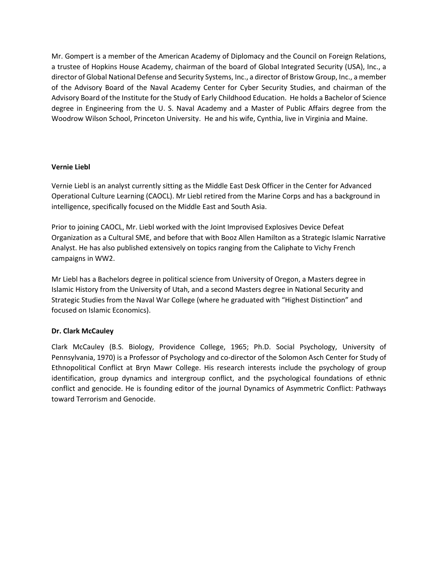Mr. Gompert is a member of the American Academy of Diplomacy and the Council on Foreign Relations, a trustee of Hopkins House Academy, chairman of the board of Global Integrated Security (USA), Inc., a director of Global National Defense and Security Systems, Inc., a director of Bristow Group, Inc., a member of the Advisory Board of the Naval Academy Center for Cyber Security Studies, and chairman of the Advisory Board of the Institute for the Study of Early Childhood Education. He holds a Bachelor of Science degree in Engineering from the U. S. Naval Academy and a Master of Public Affairs degree from the Woodrow Wilson School, Princeton University. He and his wife, Cynthia, live in Virginia and Maine.

## **Vernie Liebl**

Vernie Liebl is an analyst currently sitting as the Middle East Desk Officer in the Center for Advanced Operational Culture Learning (CAOCL). Mr Liebl retired from the Marine Corps and has a background in intelligence, specifically focused on the Middle East and South Asia.

Prior to joining CAOCL, Mr. Liebl worked with the Joint Improvised Explosives Device Defeat Organization as a Cultural SME, and before that with Booz Allen Hamilton as a Strategic Islamic Narrative Analyst. He has also published extensively on topics ranging from the Caliphate to Vichy French campaigns in WW2.

Mr Liebl has a Bachelors degree in political science from University of Oregon, a Masters degree in Islamic History from the University of Utah, and a second Masters degree in National Security and Strategic Studies from the Naval War College (where he graduated with "Highest Distinction" and focused on Islamic Economics).

# **Dr. Clark McCauley**

Clark McCauley (B.S. Biology, Providence College, 1965; Ph.D. Social Psychology, University of Pennsylvania, 1970) is a Professor of Psychology and co-director of the Solomon Asch Center for Study of Ethnopolitical Conflict at Bryn Mawr College. His research interests include the psychology of group identification, group dynamics and intergroup conflict, and the psychological foundations of ethnic conflict and genocide. He is founding editor of the journal Dynamics of Asymmetric Conflict: Pathways toward Terrorism and Genocide.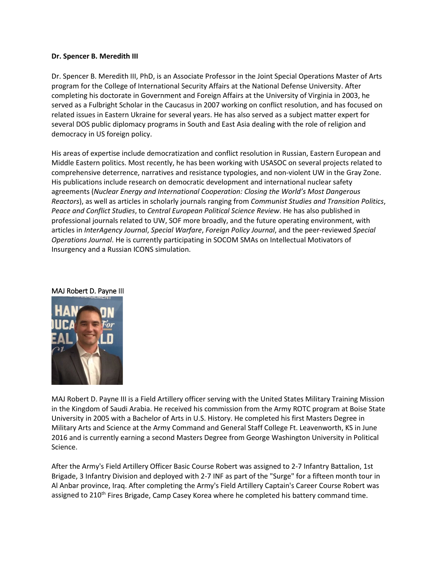#### **Dr. Spencer B. Meredith III**

Dr. Spencer B. Meredith III, PhD, is an Associate Professor in the Joint Special Operations Master of Arts program for the College of International Security Affairs at the National Defense University. After completing his doctorate in Government and Foreign Affairs at the University of Virginia in 2003, he served as a Fulbright Scholar in the Caucasus in 2007 working on conflict resolution, and has focused on related issues in Eastern Ukraine for several years. He has also served as a subject matter expert for several DOS public diplomacy programs in South and East Asia dealing with the role of religion and democracy in US foreign policy.

His areas of expertise include democratization and conflict resolution in Russian, Eastern European and Middle Eastern politics. Most recently, he has been working with USASOC on several projects related to comprehensive deterrence, narratives and resistance typologies, and non-violent UW in the Gray Zone. His publications include research on democratic development and international nuclear safety agreements (*Nuclear Energy and International Cooperation: Closing the World's Most Dangerous Reactors*), as well as articles in scholarly journals ranging from *Communist Studies and Transition Politics*, *Peace and Conflict Studies*, to *Central European Political Science Review*. He has also published in professional journals related to UW, SOF more broadly, and the future operating environment, with articles in *InterAgency Journal*, *Special Warfare*, *Foreign Policy Journal*, and the peer-reviewed *Special Operations Journal*. He is currently participating in SOCOM SMAs on Intellectual Motivators of Insurgency and a Russian ICONS simulation.



#### MAJ Robert D. Payne III

MAJ Robert D. Payne III is a Field Artillery officer serving with the United States Military Training Mission in the Kingdom of Saudi Arabia. He received his commission from the Army ROTC program at Boise State University in 2005 with a Bachelor of Arts in U.S. History. He completed his first Masters Degree in Military Arts and Science at the Army Command and General Staff College Ft. Leavenworth, KS in June 2016 and is currently earning a second Masters Degree from George Washington University in Political Science.

After the Army's Field Artillery Officer Basic Course Robert was assigned to 2-7 Infantry Battalion, 1st Brigade, 3 Infantry Division and deployed with 2-7 INF as part of the "Surge" for a fifteen month tour in Al Anbar province, Iraq. After completing the Army's Field Artillery Captain's Career Course Robert was assigned to 210<sup>th</sup> Fires Brigade, Camp Casey Korea where he completed his battery command time.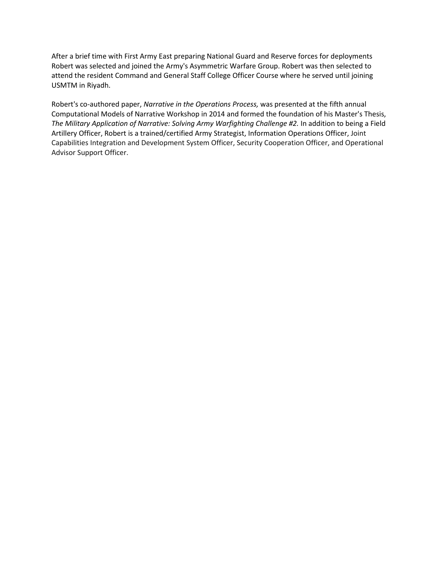After a brief time with First Army East preparing National Guard and Reserve forces for deployments Robert was selected and joined the Army's Asymmetric Warfare Group. Robert was then selected to attend the resident Command and General Staff College Officer Course where he served until joining USMTM in Riyadh.

Robert's co-authored paper, *Narrative in the Operations Process,* was presented at the fifth annual Computational Models of Narrative Workshop in 2014 and formed the foundation of his Master's Thesis, *The Military Application of Narrative: Solving Army Warfighting Challenge #2.* In addition to being a Field Artillery Officer, Robert is a trained/certified Army Strategist, Information Operations Officer, Joint Capabilities Integration and Development System Officer, Security Cooperation Officer, and Operational Advisor Support Officer.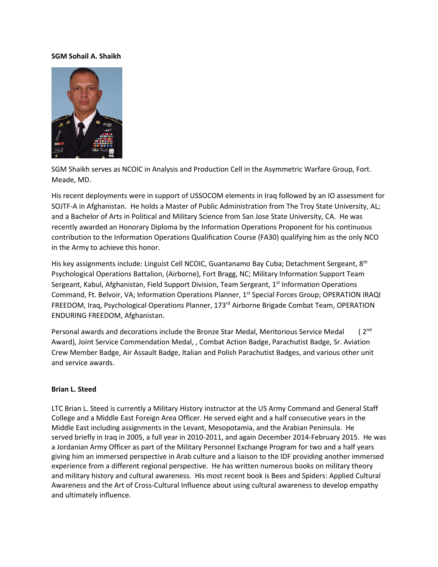#### **SGM Sohail A. Shaikh**



SGM Shaikh serves as NCOIC in Analysis and Production Cell in the Asymmetric Warfare Group, Fort. Meade, MD.

His recent deployments were in support of USSOCOM elements in Iraq followed by an IO assessment for SOJTF-A in Afghanistan. He holds a Master of Public Administration from The Troy State University, AL; and a Bachelor of Arts in Political and Military Science from San Jose State University, CA. He was recently awarded an Honorary Diploma by the Information Operations Proponent for his continuous contribution to the Information Operations Qualification Course (FA30) qualifying him as the only NCO in the Army to achieve this honor.

His key assignments include: Linguist Cell NCOIC, Guantanamo Bay Cuba; Detachment Sergeant, 8<sup>th</sup> Psychological Operations Battalion, (Airborne), Fort Bragg, NC; Military Information Support Team Sergeant, Kabul, Afghanistan, Field Support Division, Team Sergeant, 1<sup>st</sup> Information Operations Command, Ft. Belvoir, VA; Information Operations Planner, 1<sup>st</sup> Special Forces Group; OPERATION IRAQI FREEDOM, Iraq, Psychological Operations Planner, 173<sup>rd</sup> Airborne Brigade Combat Team, OPERATION ENDURING FREEDOM, Afghanistan.

Personal awards and decorations include the Bronze Star Medal, Meritorious Service Medal (2<sup>nd</sup> Award), Joint Service Commendation Medal, , Combat Action Badge, Parachutist Badge, Sr. Aviation Crew Member Badge, Air Assault Badge, Italian and Polish Parachutist Badges, and various other unit and service awards.

#### **Brian L. Steed**

LTC Brian L. Steed is currently a Military History instructor at the US Army Command and General Staff College and a Middle East Foreign Area Officer. He served eight and a half consecutive years in the Middle East including assignments in the Levant, Mesopotamia, and the Arabian Peninsula. He served briefly in Iraq in 2005, a full year in 2010-2011, and again December 2014-February 2015. He was a Jordanian Army Officer as part of the Military Personnel Exchange Program for two and a half years giving him an immersed perspective in Arab culture and a liaison to the IDF providing another immersed experience from a different regional perspective. He has written numerous books on military theory and military history and cultural awareness. His most recent book is Bees and Spiders: Applied Cultural Awareness and the Art of Cross-Cultural Influence about using cultural awareness to develop empathy and ultimately influence.